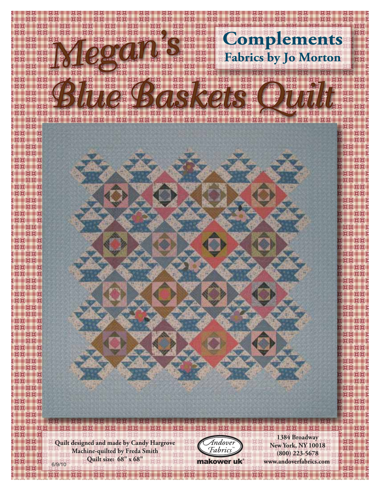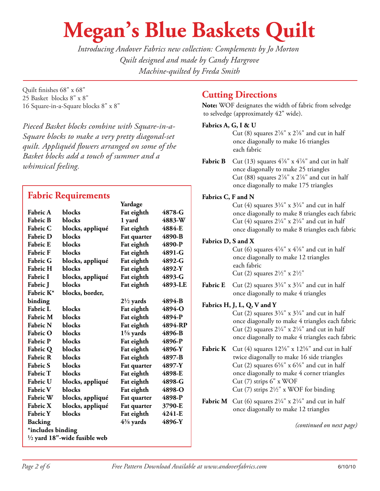# **Megan's Blue Baskets Quilt**

*Introducing Andover Fabrics new collection: Complements by Jo Morton Quilt designed and made by Candy Hargrove Machine-quilted by Freda Smith*

Quilt finishes 68" x 68" 25 Basket blocks 8" x 8" 16 Square-in-a-Square blocks 8" x 8"

*Pieced Basket blocks combine with Square-in-a-Square blocks to make a very pretty diagonal-set quilt. Appliquéd flowers arranged on some of the Basket blocks add a touch of summer and a whimsical feeling.*

# **Fabric Requirements**

|                                         |                  | Yardage              |         |
|-----------------------------------------|------------------|----------------------|---------|
| <b>Fabric A</b>                         | blocks           | Fat eighth           | 4878-G  |
| <b>Fabric B</b>                         | blocks           | 1 yard               | 4883-W  |
| <b>Fabric C</b>                         | blocks, appliqué | Fat eighth           | 4884-E  |
| <b>Fabric D</b>                         | blocks           | Fat quarter          | 4890-B  |
| <b>Fabric E</b>                         | blocks           | Fat eighth           | 4890-P  |
| <b>Fabric F</b>                         | blocks           | Fat eighth           | 4891-G  |
| <b>Fabric G</b>                         | blocks, appliqué | Fat eighth           | 4892-G  |
| <b>Fabric H</b>                         | blocks           | Fat eighth           | 4892-Y  |
| <b>Fabric I</b>                         | blocks, appliqué | Fat eighth           | 4893-G  |
| <b>Fabric</b> J                         | blocks           | Fat eighth           | 4893-LE |
| Fabric K*                               | blocks, border,  |                      |         |
| binding                                 |                  | $2\frac{1}{2}$ yards | 4894-B  |
| <b>Fabric L</b>                         | blocks           | Fat eighth           | 4894-O  |
| <b>Fabric M</b>                         | blocks           | Fat eighth           | 4894-P  |
| <b>Fabric N</b>                         | blocks           | Fat eighth           | 4894-RP |
| <b>Fabric O</b>                         | blocks           | $1\frac{5}{8}$ yards | 4896-B  |
| <b>Fabric P</b>                         | blocks           | Fat eighth           | 4896-P  |
| <b>Fabric Q</b>                         | blocks           | Fat eighth           | 4896-Y  |
| <b>Fabric R</b>                         | blocks           | Fat eighth           | 4897-B  |
| <b>Fabric S</b>                         | blocks           | Fat quarter          | 4897-Y  |
| <b>Fabric T</b>                         | blocks           | Fat eighth           | 4898-E  |
| <b>Fabric U</b>                         | blocks, appliqué | Fat eighth           | 4898-G  |
| <b>Fabric V</b>                         | blocks           | Fat eighth           | 4898-O  |
| <b>Fabric W</b>                         | blocks, appliqué | Fat quarter          | 4898-P  |
| <b>Fabric X</b>                         | blocks, appliqué | Fat quarter          | 3790-E  |
| <b>Fabric Y</b>                         | blocks           | Fat eighth           | 4241-E  |
| Backing                                 |                  | $4\frac{3}{8}$ yards | 4896-Y  |
| *includes binding                       |                  |                      |         |
| $\frac{1}{2}$ yard 18"-wide fusible web |                  |                      |         |
|                                         |                  |                      |         |

## **Cutting Directions**

**Note:** WOF designates the width of fabric from selvedge to selvedge (approximately 42" wide).

### **Fabrics A, G, I & U**

Cut (8) squares  $2\frac{7}{8}$ " x  $2\frac{7}{8}$ " and cut in half once diagonally to make 16 triangles each fabric

**Fabric B** Cut (13) squares  $4\frac{7}{8}$ " x  $4\frac{7}{8}$ " and cut in half once diagonally to make 25 triangles Cut (88) squares  $2\frac{7}{8}$ " x  $2\frac{7}{8}$ " and cut in half once diagonally to make 175 triangles

#### **Fabrics C, F and N**

Cut (4) squares  $3\frac{3}{4}$ " x  $3\frac{3}{4}$ " and cut in half once diagonally to make 8 triangles each fabric Cut (4) squares  $2\frac{1}{4}$ " x  $2\frac{1}{4}$ " and cut in half once diagonally to make 8 triangles each fabric

### **Fabrics D, S and X**

Cut (6) squares  $4\frac{7}{8}$ " x  $4\frac{7}{8}$ " and cut in half once diagonally to make 12 triangles each fabric Cut (2) squares  $2\frac{1}{2}$ " x  $2\frac{1}{2}$ "

**Fabric E** Cut (2) squares  $3\frac{3}{4}$ " x  $3\frac{3}{4}$ " and cut in half once diagonally to make 4 triangles

#### **Fabrics H, J, L, Q, V and Y**

Cut (2) squares  $3\frac{3}{4}$ " x  $3\frac{3}{4}$ " and cut in half once diagonally to make 4 triangles each fabric Cut (2) squares  $2\frac{1}{4}$ " x  $2\frac{1}{4}$ " and cut in half once diagonally to make 4 triangles each fabric

- **Fabric K** Cut (4) squares  $12\frac{5}{8}$ " x  $12\frac{5}{8}$ " and cut in half twice diagonally to make 16 side triangles Cut (2) squares  $6\frac{5}{8}$ " x  $6\frac{5}{8}$ " and cut in half once diagonally to make 4 corner triangles Cut (7) strips 6" x WOF Cut (7) strips  $2\frac{1}{2}$ " x WOF for binding
- **Fabric M** Cut (6) squares  $2\frac{1}{4}$ " x  $2\frac{1}{4}$ " and cut in half once diagonally to make 12 triangles

*(continued on next page)*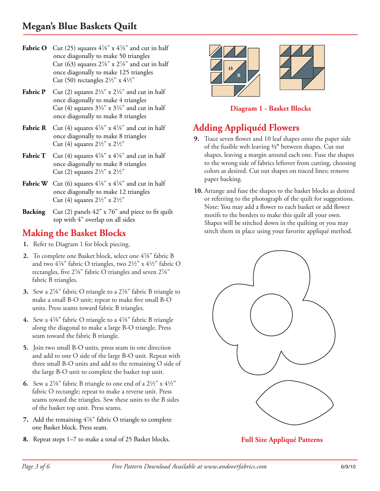# **Megan's Blue Baskets Quilt**

- **Fabric O** Cut (25) squares  $4\frac{7}{8}$ " x  $4\frac{7}{8}$ " and cut in half once diagonally to make 50 triangles Cut (63) squares  $2\frac{7}{8}$ " x  $2\frac{7}{8}$ " and cut in half once diagonally to make 125 triangles Cut (50) rectangles  $2\frac{1}{2}$ " x  $4\frac{1}{2}$ "
- **Fabric P** Cut (2) squares  $2\frac{1}{4}$ " x  $2\frac{1}{4}$ " and cut in half once diagonally to make 4 triangles Cut (4) squares  $3\frac{3}{4}$ " x  $3\frac{3}{4}$ " and cut in half once diagonally to make 8 triangles
- **Fabric R** Cut (4) squares  $4\frac{7}{8}$ " x  $4\frac{7}{8}$ " and cut in half once diagonally to make 8 triangles Cut (4) squares  $2\frac{1}{2}$ " x  $2\frac{1}{2}$ "
- **Fabric T** Cut (4) squares  $4\frac{7}{8}$ " x  $4\frac{7}{8}$ " and cut in half once diagonally to make 8 triangles Cut (2) squares  $2\frac{1}{2}$ " x  $2\frac{1}{2}$ "
- **Fabric W** Cut (6) squares  $4\frac{7}{8}$ " x  $4\frac{7}{8}$ " and cut in half once diagonally to make 12 triangles Cut (4) squares  $2\frac{1}{2}$ " x  $2\frac{1}{2}$ "
- **Backing** Cut (2) panels 42" x 76" and piece to fit quilt top with 4" overlap on all sides

## **Making the Basket Blocks**

- **1.** Refer to Diagram 1 for block piecing.
- **2.** To complete one Basket block, select one 4%" fabric B and two  $4\frac{7}{8}$ " fabric O triangles, two  $2\frac{1}{2}$ " x  $4\frac{1}{2}$ " fabric O rectangles, five  $2\frac{1}{8}$ " fabric O triangles and seven  $2\frac{1}{8}$ " fabric B triangles.
- **3.** Sew a 2%" fabric O triangle to a 2%" fabric B triangle to make a small B-O unit; repeat to make five small B-O units. Press seams toward fabric B triangles.
- **4.** Sew a 4%" fabric O triangle to a 4%" fabric B triangle along the diagonal to make a large B-O triangle. Press seam toward the fabric B triangle.
- **5.** Join two small B-O units, press seam in one direction and add to one O side of the large B-O unit. Repeat with three small B-O units and add to the remaining O side of the large B-O unit to complete the basket top unit.
- **6.** Sew a 2%" fabric B triangle to one end of a  $2\frac{1}{2}$ " x  $4\frac{1}{2}$ " fabric O rectangle; repeat to make a reverse unit. Press seams toward the triangles. Sew these units to the B sides of the basket top unit. Press seams.
- 7. Add the remaining 4<sup>7</sup>/<sub>8</sub>" fabric O triangle to complete one Basket block. Press seam.
- **8.** Repeat steps 1–7 to make a total of 25 Basket blocks.



**Diagram 1 - Basket Blocks**

## **Adding Appliquéd Flowers**

- **9.** Trace seven flower and 10 leaf shapes onto the paper side of the fusible web leaving **2"** between shapes. Cut out shapes, leaving a margin around each one. Fuse the shapes to the wrong side of fabrics leftover from cutting, choosing colors as desired. Cut out shapes on traced lines; remove paper backing.
- **10.** Arrange and fuse the shapes to the basket blocks as desired or referring to the photograph of the quilt for suggestions. Note: You may add a flower to each basket or add flower motifs to the borders to make this quilt all your own. Shapes will be stitched down in the quilting or you may stitch them in place using your favorite appliqué method.



**Full Size Appliqué Patterns**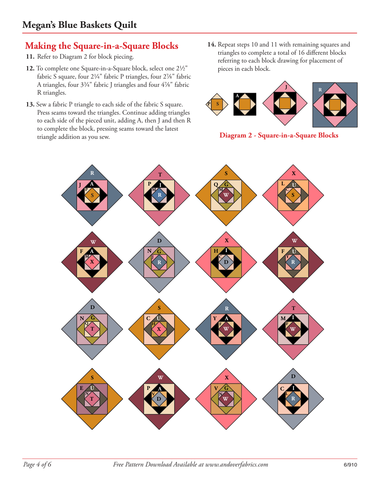# **Making the Square-in-a-Square Blocks**

- **11.** Refer to Diagram 2 for block piecing.
- 12. To complete one Square-in-a-Square block, select one 2<sup>1</sup>/<sub>2</sub>" fabric S square, four  $2\frac{1}{4}$ " fabric P triangles, four  $2\frac{7}{8}$ " fabric A triangles, four  $3\frac{3}{4}$ " fabric J triangles and four  $4\frac{7}{8}$ " fabric R triangles.
- **13.** Sew a fabric P triangle to each side of the fabric S square. Press seams toward the triangles. Continue adding triangles to each side of the pieced unit, adding A, then J and then R to complete the block, pressing seams toward the latest triangle addition as you sew. **Diagram 2 - Square-in-a-Square Blocks**
- **14.** Repeat steps 10 and 11 with remaining squares and triangles to complete a total of 16 different blocks referring to each block drawing for placement of pieces in each block.



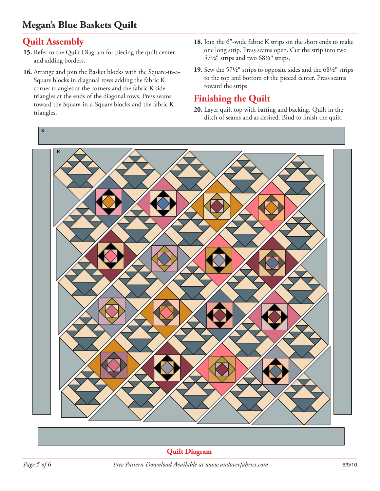# **Megan's Blue Baskets Quilt**

# **Quilt Assembly**

- **15.** Refer to the Quilt Diagram for piecing the quilt center and adding borders.
- **16.** Arrange and join the Basket blocks with the Square-in-a-Square blocks in diagonal rows adding the fabric K corner triangles at the corners and the fabric K side triangles at the ends of the diagonal rows. Press seams toward the Square-in-a-Square blocks and the fabric K triangles.
- **18.** Join the 6"-wide fabric K strips on the short ends to make one long strip. Press seams open. Cut the strip into two 57**2"** strips and two 68**2"** strips.
- **19.** Sew the 57**2"** strips to opposite sides and the 68**2"** strips to the top and bottom of the pieced center. Press seams toward the strips.

## **Finishing the Quilt**

**20.** Layer quilt top with batting and backing. Quilt in the ditch of seams and as desired. Bind to finish the quilt.



**Quilt Diagram**